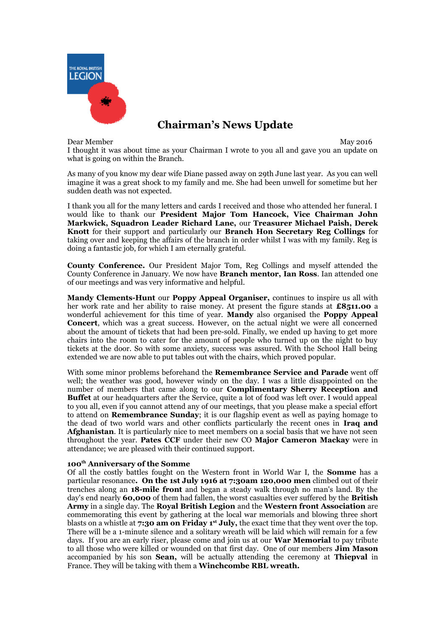

# **Chairman's News Update**

Dear Member May 2016

I thought it was about time as your Chairman I wrote to you all and gave you an update on what is going on within the Branch.

As many of you know my dear wife Diane passed away on 29th June last year. As you can well imagine it was a great shock to my family and me. She had been unwell for sometime but her sudden death was not expected.

I thank you all for the many letters and cards I received and those who attended her funeral. I would like to thank our **President Major Tom Hancock, Vice Chairman John Markwick, Squadron Leader Richard Lane,** our **Treasurer Michael Paish, Derek Knott** for their support and particularly our **Branch Hon Secretary Reg Collings** for taking over and keeping the affairs of the branch in order whilst I was with my family. Reg is doing a fantastic job, for which I am eternally grateful.

**County Conference.** Our President Major Tom, Reg Collings and myself attended the County Conference in January. We now have **Branch mentor, Ian Ross**. Ian attended one of our meetings and was very informative and helpful.

**Mandy Clements-Hunt** our **Poppy Appeal Organiser,** continues to inspire us all with her work rate and her ability to raise money. At present the figure stands at **£8511.00** a wonderful achievement for this time of year. **Mandy** also organised the **Poppy Appeal Concert**, which was a great success. However, on the actual night we were all concerned about the amount of tickets that had been pre-sold. Finally, we ended up having to get more chairs into the room to cater for the amount of people who turned up on the night to buy tickets at the door. So with some anxiety, success was assured. With the School Hall being extended we are now able to put tables out with the chairs, which proved popular.

With some minor problems beforehand the **Remembrance Service and Parade** went off well; the weather was good, however windy on the day. I was a little disappointed on the number of members that came along to our **Complimentary Sherry Reception and Buffet** at our headquarters after the Service, quite a lot of food was left over. I would appeal to you all, even if you cannot attend any of our meetings, that you please make a special effort to attend on **Remembrance Sunday**; it is our flagship event as well as paying homage to the dead of two world wars and other conflicts particularly the recent ones in **Iraq and Afghanistan**. It is particularly nice to meet members on a social basis that we have not seen throughout the year. **Pates CCF** under their new CO **Major Cameron Mackay** were in attendance; we are pleased with their continued support.

# **100th Anniversary of the Somme**

Of all the costly battles fought on the Western front in World War I, the **Somme** has a particular resonance**. On the 1st July 1916 at 7:30am 120,000 men** climbed out of their trenches along an **18-mile front** and began a steady walk through no man's land. By the day's end nearly **60,000** of them had fallen, the worst casualties ever suffered by the **British Army** in a single day. The **Royal British Legion** and the **Western front Association** are commemorating this event by gathering at the local war memorials and blowing three short blasts on a whistle at **7:30 am on Friday 1st July,** the exact time that they went over the top. There will be a 1-minute silence and a solitary wreath will be laid which will remain for a few days. If you are an early riser, please come and join us at our **War Memorial** to pay tribute to all those who were killed or wounded on that first day. One of our members **Jim Mason** accompanied by his son **Sean,** will be actually attending the ceremony at **Thiepval** in France. They will be taking with them a **Winchcombe RBL wreath.**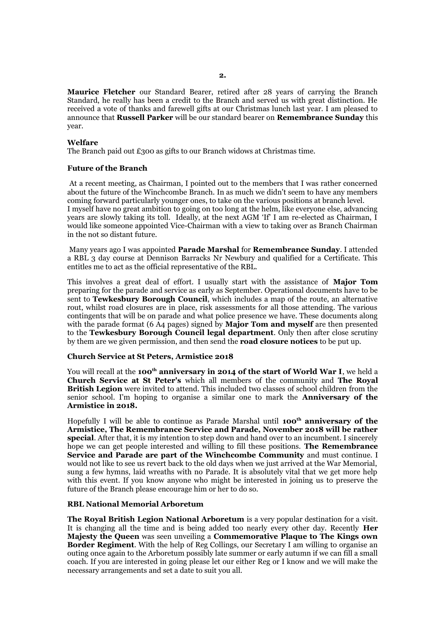**Maurice Fletcher** our Standard Bearer, retired after 28 years of carrying the Branch Standard, he really has been a credit to the Branch and served us with great distinction. He received a vote of thanks and farewell gifts at our Christmas lunch last year. I am pleased to announce that **Russell Parker** will be our standard bearer on **Remembrance Sunday** this year.

#### **Welfare**

The Branch paid out £300 as gifts to our Branch widows at Christmas time.

#### **Future of the Branch**

 At a recent meeting, as Chairman, I pointed out to the members that I was rather concerned about the future of the Winchcombe Branch. In as much we didn't seem to have any members coming forward particularly younger ones, to take on the various positions at branch level. I myself have no great ambition to going on too long at the helm, like everyone else, advancing years are slowly taking its toll. Ideally, at the next AGM 'If' I am re-elected as Chairman, I would like someone appointed Vice-Chairman with a view to taking over as Branch Chairman in the not so distant future.

 Many years ago I was appointed **Parade Marshal** for **Remembrance Sunday**. I attended a RBL 3 day course at Dennison Barracks Nr Newbury and qualified for a Certificate. This entitles me to act as the official representative of the RBL.

This involves a great deal of effort. I usually start with the assistance of **Major Tom** preparing for the parade and service as early as September. Operational documents have to be sent to **Tewkesbury Borough Council**, which includes a map of the route, an alternative rout, whilst road closures are in place, risk assessments for all those attending. The various contingents that will be on parade and what police presence we have. These documents along with the parade format (6 A4 pages) signed by **Major Tom and myself** are then presented to the **Tewkesbury Borough Council legal department**. Only then after close scrutiny by them are we given permission, and then send the **road closure notices** to be put up.

### **Church Service at St Peters, Armistice 2018**

You will recall at the **100<sup>th</sup> anniversary in 2014 of the start of World War I**, we held a **Church Service at St Peter's** which all members of the community and **The Royal British Legion** were invited to attend. This included two classes of school children from the senior school. I'm hoping to organise a similar one to mark the **Anniversary of the Armistice in 2018.**

Hopefully I will be able to continue as Parade Marshal until **100th anniversary of the Armistice, The Remembrance Service and Parade, November 2018 will be rather special**. After that, it is my intention to step down and hand over to an incumbent. I sincerely hope we can get people interested and willing to fill these positions. **The Remembrance Service and Parade are part of the Winchcombe Community** and must continue. I would not like to see us revert back to the old days when we just arrived at the War Memorial, sung a few hymns, laid wreaths with no Parade. It is absolutely vital that we get more help with this event. If you know anyone who might be interested in joining us to preserve the future of the Branch please encourage him or her to do so.

## **RBL National Memorial Arboretum**

**The Royal British Legion National Arboretum** is a very popular destination for a visit. It is changing all the time and is being added too nearly every other day. Recently **Her Majesty the Queen** was seen unveiling a **Commemorative Plaque to The Kings own Border Regiment**. With the help of Reg Collings, our Secretary I am willing to organise an outing once again to the Arboretum possibly late summer or early autumn if we can fill a small coach. If you are interested in going please let our either Reg or I know and we will make the necessary arrangements and set a date to suit you all.